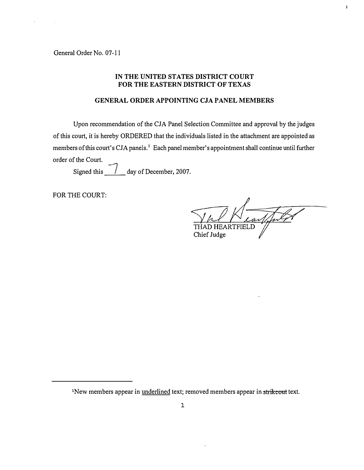General Order No. 07-11

#### IN THE UNITED STATES DISTRICT COURT FOR THE EASTERN DISTRICT OF TEXAS

#### GENERAL ORDER APPOINTING CJA PANEL MEMBERS

Upon recommendation of the CJA Panel Selection Committee and approval by the judges of this court, it is hereby ORDERED that the individuals listed in the attachment are appointed as members of this court's CJA panels.<sup>1</sup> Each panel member's appointment shall continue until further order of the Court.

Signed this  $\frac{1}{\sqrt{2}}$  day of December, 2007.

FOR THE COURT:

Lar **RTFIELD** Chief Judge

 $\mathbf{I}$ 

<sup>&</sup>lt;sup>1</sup>New members appear in <u>underlined</u> text; removed members appear in strikeout text.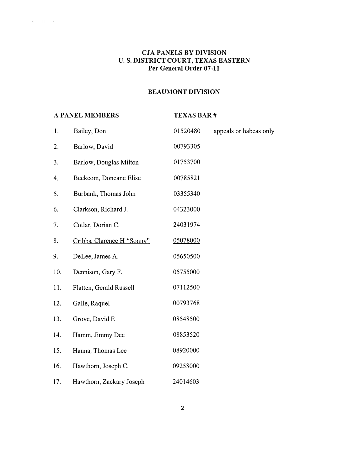### CJA PANELS BY DIVISION U. S. DISTRICT COURT, TEXAS EASTERN Per General Order 07-11

#### BEAUMONT DIVISION

## A PANEL MEMBERS TEXAS BAR #

 $\label{eq:2.1} \mathcal{F} = \mathcal{F} \left( \mathcal{F} \right) \left( \mathcal{F} \right) \left( \mathcal{F} \right)$ 

| 1.  | Bailey, Don                | 01520480 | appeals or habeas only |
|-----|----------------------------|----------|------------------------|
| 2.  | Barlow, David              | 00793305 |                        |
| 3.  | Barlow, Douglas Milton     | 01753700 |                        |
| 4.  | Beckcom, Doneane Elise     | 00785821 |                        |
| 5.  | Burbank, Thomas John       | 03355340 |                        |
| 6.  | Clarkson, Richard J.       | 04323000 |                        |
| 7.  | Cotlar, Dorian C.          | 24031974 |                        |
| 8.  | Cribbs, Clarence H "Sonny" | 05078000 |                        |
| 9.  | DeLee, James A.            | 05650500 |                        |
| 10. | Dennison, Gary F.          | 05755000 |                        |
| 11. | Flatten, Gerald Russell    | 07112500 |                        |
| 12. | Galle, Raquel              | 00793768 |                        |
| 13. | Grove, David E             | 08548500 |                        |
| 14. | Hamm, Jimmy Dee            | 08853520 |                        |
| 15. | Hanna, Thomas Lee          | 08920000 |                        |
| 16. | Hawthorn, Joseph C.        | 09258000 |                        |
| 17. | Hawthorn, Zackary Joseph   | 24014603 |                        |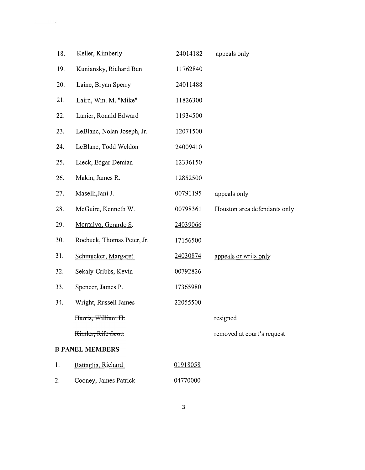| 18. | Keller, Kimberly           | 24014182 | appeals only                 |
|-----|----------------------------|----------|------------------------------|
| 19. | Kuniansky, Richard Ben     | 11762840 |                              |
| 20. | Laine, Bryan Sperry        | 24011488 |                              |
| 21. | Laird, Wm. M. "Mike"       | 11826300 |                              |
| 22. | Lanier, Ronald Edward      | 11934500 |                              |
| 23. | LeBlanc, Nolan Joseph, Jr. | 12071500 |                              |
| 24. | LeBlanc, Todd Weldon       | 24009410 |                              |
| 25. | Lieck, Edgar Demian        | 12336150 |                              |
| 26. | Makin, James R.            | 12852500 |                              |
| 27. | Maselli, Jani J.           | 00791195 | appeals only                 |
| 28. | McGuire, Kenneth W.        | 00798361 | Houston area defendants only |
| 29. | Montalvo, Gerardo S.       | 24039066 |                              |
| 30. | Roebuck, Thomas Peter, Jr. | 17156500 |                              |
| 31. | Schmucker, Margaret        | 24030874 | appeals or writs only        |
| 32. | Sekaly-Cribbs, Kevin       | 00792826 |                              |
| 33. | Spencer, James P.          | 17365980 |                              |
| 34. | Wright, Russell James      | 22055500 |                              |
|     | Harris, William H.         |          | resigned                     |
|     | Kimler, Rife Scott         |          | removed at court's request   |
|     | <b>B PANEL MEMBERS</b>     |          |                              |
| 1.  | Battaglia, Richard         | 01918058 |                              |
| 2.  | Cooney, James Patrick      | 04770000 |                              |

 $\label{eq:2.1} \mathcal{A} = \mathcal{A} \times \mathcal{A} \times \mathcal{A} \times \mathcal{A} \times \mathcal{A}$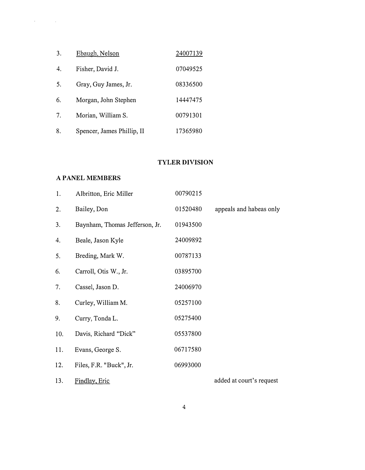| 3. | Ebaugh, Nelson             | 24007139 |
|----|----------------------------|----------|
| 4. | Fisher, David J.           | 07049525 |
| 5. | Gray, Guy James, Jr.       | 08336500 |
| 6. | Morgan, John Stephen       | 14447475 |
| 7. | Morian, William S.         | 00791301 |
| 8. | Spencer, James Phillip, II | 17365980 |

## TYLER DIVISION

#### A PANEL MEMBERS

 $\label{eq:2.1} \mathcal{L}(\mathbf{r}) = \mathcal{L}(\mathbf{r}) \mathcal{L}(\mathbf{r}) = \mathcal{L}(\mathbf{r}) \mathcal{L}(\mathbf{r})$ 

| 1.  | Albritton, Eric Miller         | 00790215 |                          |
|-----|--------------------------------|----------|--------------------------|
| 2.  | Bailey, Don                    | 01520480 | appeals and habeas only  |
| 3.  | Baynham, Thomas Jefferson, Jr. | 01943500 |                          |
| 4.  | Beale, Jason Kyle              | 24009892 |                          |
| 5.  | Breding, Mark W.               | 00787133 |                          |
| 6.  | Carroll, Otis W., Jr.          | 03895700 |                          |
| 7.  | Cassel, Jason D.               | 24006970 |                          |
| 8.  | Curley, William M.             | 05257100 |                          |
| 9.  | Curry, Tonda L.                | 05275400 |                          |
| 10. | Davis, Richard "Dick"          | 05537800 |                          |
| 11. | Evans, George S.               | 06717580 |                          |
| 12. | Files, F.R. "Buck", Jr.        | 06993000 |                          |
| 13. | Findlay, Eric                  |          | added at court's request |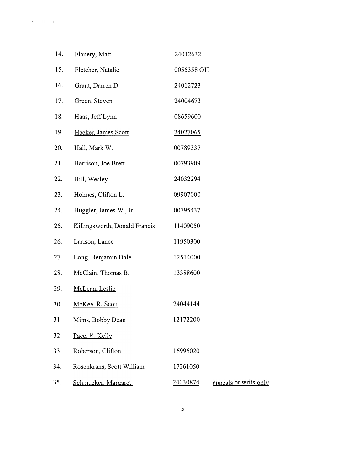| 14. | Flanery, Matt                 | 24012632   |                       |
|-----|-------------------------------|------------|-----------------------|
| 15. | Fletcher, Natalie             | 0055358 OH |                       |
| 16. | Grant, Darren D.              | 24012723   |                       |
| 17. | Green, Steven                 | 24004673   |                       |
| 18. | Haas, Jeff Lynn               | 08659600   |                       |
| 19. | Hacker, James Scott           | 24027065   |                       |
| 20. | Hall, Mark W.                 | 00789337   |                       |
| 21. | Harrison, Joe Brett           | 00793909   |                       |
| 22. | Hill, Wesley                  | 24032294   |                       |
| 23. | Holmes, Clifton L.            | 09907000   |                       |
| 24. | Huggler, James W., Jr.        | 00795437   |                       |
| 25. | Killingsworth, Donald Francis | 11409050   |                       |
| 26. | Larison, Lance                | 11950300   |                       |
| 27. | Long, Benjamin Dale           | 12514000   |                       |
| 28. | McClain, Thomas B.            | 13388600   |                       |
| 29. | McLean, Leslie                |            |                       |
| 30. | McKee, R. Scott               | 24044144   |                       |
| 31. | Mims, Bobby Dean              | 12172200   |                       |
| 32. | Pace, R. Kelly                |            |                       |
| 33  | Roberson, Clifton             | 16996020   |                       |
| 34. | Rosenkrans, Scott William     | 17261050   |                       |
| 35. | Schmucker, Margaret           | 24030874   | appeals or writs only |

 $\label{eq:2.1} \mathbf{u} = \mathbf{u} + \mathbf{v} + \mathbf{v} + \mathbf{v}$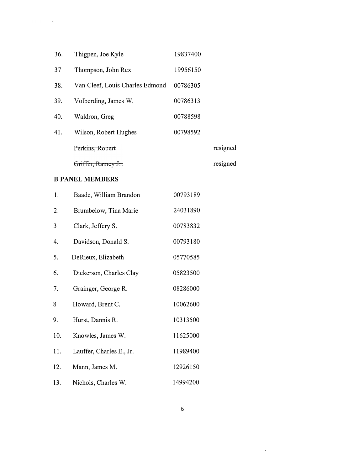| 36. | Thigpen, Joe Kyle               | 19837400 |          |
|-----|---------------------------------|----------|----------|
| 37  | Thompson, John Rex              | 19956150 |          |
| 38. | Van Cleef, Louis Charles Edmond | 00786305 |          |
| 39. | Volberding, James W.            | 00786313 |          |
| 40. | Waldron, Greg                   | 00788598 |          |
| 41. | Wilson, Robert Hughes           | 00798592 |          |
|     | Perkins, Robert                 |          | resigned |
|     | r <del>iffin, Ramey Jr.</del>   |          | resigned |

#### **B PANEL MEMBERS**

 $\label{eq:2.1} \mathcal{L} = \left\{ \begin{array}{ll} \mathcal{L} & \mathcal{L} \\ \mathcal{L} & \mathcal{L} \end{array} \right. \quad \text{and} \quad \mathcal{L} = \left\{ \begin{array}{ll} \mathcal{L} \\ \mathcal{L} \end{array} \right. \quad \text{and} \quad \mathcal{L} = \left\{ \begin{array}{ll} \mathcal{L} \\ \mathcal{L} \end{array} \right. \quad \text{and} \quad \mathcal{L} = \left\{ \begin{array}{ll} \mathcal{L} \\ \mathcal{L} \end{array} \right. \quad \text{and} \quad \mathcal{L$ 

| 1.  | Baade, William Brandon   | 00793189 |
|-----|--------------------------|----------|
| 2.  | Brumbelow, Tina Marie    | 24031890 |
| 3   | Clark, Jeffery S.        | 00783832 |
| 4.  | Davidson, Donald S.      | 00793180 |
| 5.  | DeRieux, Elizabeth       | 05770585 |
| 6.  | Dickerson, Charles Clay  | 05823500 |
| 7.  | Grainger, George R.      | 08286000 |
| 8   | Howard, Brent C.         | 10062600 |
| 9.  | Hurst, Dannis R.         | 10313500 |
| 10. | Knowles, James W.        | 11625000 |
| 11. | Lauffer, Charles E., Jr. | 11989400 |
| 12. | Mann, James M.           | 12926150 |
| 13. | Nichols, Charles W.      | 14994200 |

 $\sim 10^{-11}$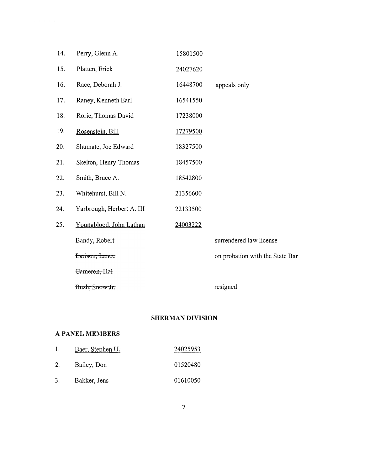| 14. | Perry, Glenn A.           | 15801500 |                                 |
|-----|---------------------------|----------|---------------------------------|
| 15. | Platten, Erick            | 24027620 |                                 |
| 16. | Race, Deborah J.          | 16448700 | appeals only                    |
| 17. | Raney, Kenneth Earl       | 16541550 |                                 |
| 18. | Rorie, Thomas David       | 17238000 |                                 |
| 19. | Rosenstein, Bill          | 17279500 |                                 |
| 20. | Shumate, Joe Edward       | 18327500 |                                 |
| 21. | Skelton, Henry Thomas     | 18457500 |                                 |
| 22. | Smith, Bruce A.           | 18542800 |                                 |
| 23. | Whitehurst, Bill N.       | 21356600 |                                 |
| 24. | Yarbrough, Herbert A. III | 22133500 |                                 |
| 25. | Youngblood, John Lathan   | 24003222 |                                 |
|     | Bandy, Robert             |          | surrendered law license         |
|     | Larison, Lance            |          | on probation with the State Bar |
|     | Cameron, Hal              |          |                                 |
|     | Bush, Snow Jr.            |          | resigned                        |

#### SHERMAN DIVISION

#### A PANEL MEMBERS

 $\label{eq:2.1} \mathcal{L} = \left\{ \begin{array}{ll} \mathcal{L} & \mathcal{L} \\ \mathcal{L} & \mathcal{L} \end{array} \right. \quad \text{and} \quad \mathcal{L} = \left\{ \begin{array}{ll} \mathcal{L} \\ \mathcal{L} \end{array} \right.$ 

|    | Baer, Stephen U. | 24025953 |
|----|------------------|----------|
| 2. | Bailey, Don      | 01520480 |
| 3. | Bakker, Jens     | 01610050 |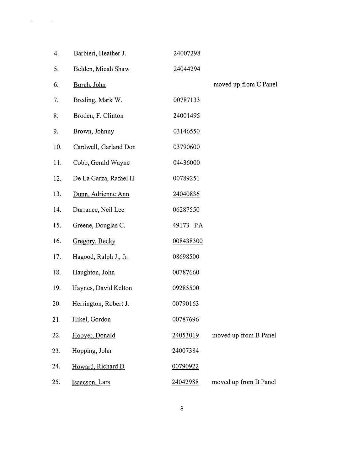| 4.  | Barbieri, Heather J.   | 24007298  |                       |
|-----|------------------------|-----------|-----------------------|
| 5.  | Belden, Micah Shaw     | 24044294  |                       |
| 6.  | Borah, John            |           | moved up from C Panel |
| 7.  | Breding, Mark W.       | 00787133  |                       |
| 8.  | Broden, F. Clinton     | 24001495  |                       |
| 9.  | Brown, Johnny          | 03146550  |                       |
| 10. | Cardwell, Garland Don  | 03790600  |                       |
| 11. | Cobb, Gerald Wayne     | 04436000  |                       |
| 12. | De La Garza, Rafael II | 00789251  |                       |
| 13. | Dunn, Adrienne Ann     | 24040836  |                       |
| 14. | Durrance, Neil Lee     | 06287550  |                       |
| 15. | Greene, Douglas C.     | 49173 PA  |                       |
| 16. | Gregory, Becky         | 008438300 |                       |
| 17. | Hagood, Ralph J., Jr.  | 08698500  |                       |
| 18. | Haughton, John         | 00787660  |                       |
| 19. | Haynes, David Kelton   | 09285500  |                       |
| 20. | Herrington, Robert J.  | 00790163  |                       |
| 21. | Hikel, Gordon          | 00787696  |                       |
| 22. | Hoover, Donald         | 24053019  | moved up from B Panel |
| 23. | Hopping, John          | 24007384  |                       |
| 24. | Howard, Richard D      | 00790922  |                       |
| 25. | Isaacson, Lars         | 24042988  | moved up from B Panel |

 $\label{eq:2.1} \Psi_{\alpha\beta} = \Psi_{\alpha\beta} + \Psi_{\alpha\beta} + \Psi_{\alpha\beta} + \Psi_{\alpha\beta}$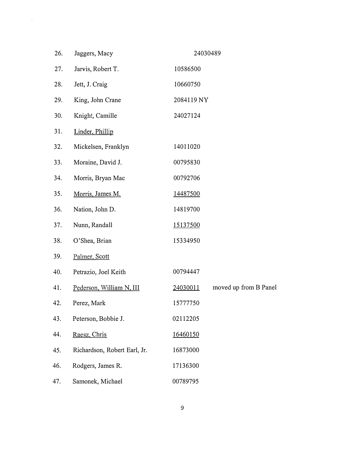| 26. | Jaggers, Macy                | 24030489                          |
|-----|------------------------------|-----------------------------------|
| 27. | Jarvis, Robert T.            | 10586500                          |
| 28. | Jett, J. Craig               | 10660750                          |
| 29. | King, John Crane             | 2084119 NY                        |
| 30. | Knight, Camille              | 24027124                          |
| 31. | Linder, Phillip              |                                   |
| 32. | Mickelsen, Franklyn          | 14011020                          |
| 33. | Moraine, David J.            | 00795830                          |
| 34. | Morris, Bryan Mac            | 00792706                          |
| 35. | Morris, James M.             | 14487500                          |
| 36. | Nation, John D.              | 14819700                          |
| 37. | Nunn, Randall                | 15137500                          |
| 38. | O'Shea, Brian                | 15334950                          |
| 39. | Palmer, Scott                |                                   |
| 40. | Petrazio, Joel Keith         | 00794447                          |
| 41. | Pederson, William N, III     | 24030011<br>moved up from B Panel |
| 42. | Perez, Mark                  | 15777750                          |
| 43. | Peterson, Bobbie J.          | 02112205                          |
| 44. | Raesz, Chris                 | 16460150                          |
| 45. | Richardson, Robert Earl, Jr. | 16873000                          |
| 46. | Rodgers, James R.            | 17136300                          |
| 47. | Samonek, Michael             | 00789795                          |
|     |                              |                                   |

 $\label{eq:2.1} \mathcal{L}=\mathcal{L}(\mathcal{L}^{(1)}\otimes\mathcal{L}^{(2)})\otimes\mathcal{L}^{(1)}\otimes\mathcal{L}^{(2)}$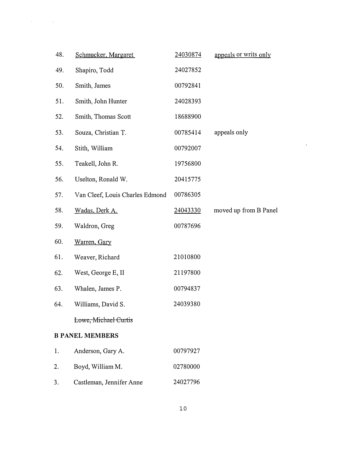| 48. | Schmucker, Margaret             | 24030874 | appeals or writs only |
|-----|---------------------------------|----------|-----------------------|
| 49. | Shapiro, Todd                   | 24027852 |                       |
| 50. | Smith, James                    | 00792841 |                       |
| 51. | Smith, John Hunter              | 24028393 |                       |
| 52. | Smith, Thomas Scott             | 18688900 |                       |
| 53. | Souza, Christian T.             | 00785414 | appeals only          |
| 54. | Stith, William                  | 00792007 |                       |
| 55. | Teakell, John R.                | 19756800 |                       |
| 56. | Uselton, Ronald W.              | 20415775 |                       |
| 57. | Van Cleef, Louis Charles Edmond | 00786305 |                       |
| 58. | Wadas, Derk A.                  | 24043330 | moved up from B Panel |
| 59. | Waldron, Greg                   | 00787696 |                       |
| 60. | Warren, Gary                    |          |                       |
| 61. | Weaver, Richard                 | 21010800 |                       |
| 62. | West, George E, II              | 21197800 |                       |
| 63. | Whalen, James P.                | 00794837 |                       |
| 64. | Williams, David S.              | 24039380 |                       |
|     | Lowe, Michael Curtis            |          |                       |
|     | <b>B PANEL MEMBERS</b>          |          |                       |
| 1.  | Anderson, Gary A.               | 00797927 |                       |
| 2.  | Boyd, William M.                | 02780000 |                       |
| 3.  | Castleman, Jennifer Anne        | 24027796 |                       |

 $\mathcal{L}(\mathcal{L}^{\text{max}})$  and  $\mathcal{L}^{\text{max}}$ 

 $\hat{\mathcal{A}}$  and  $\hat{\mathcal{A}}$  are  $\hat{\mathcal{A}}$  and  $\hat{\mathcal{A}}$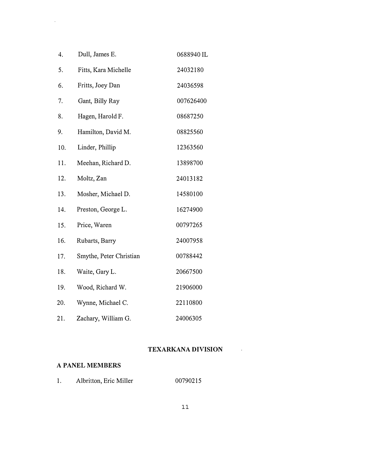| 4.  | Dull, James E.          | 0688940 IL |
|-----|-------------------------|------------|
| 5.  | Fitts, Kara Michelle    | 24032180   |
| 6.  | Fritts, Joey Dan        | 24036598   |
| 7.  | Gant, Billy Ray         | 007626400  |
| 8.  | Hagen, Harold F.        | 08687250   |
| 9.  | Hamilton, David M.      | 08825560   |
| 10. | Linder, Phillip         | 12363560   |
| 11. | Meehan, Richard D.      | 13898700   |
| 12. | Moltz, Zan              | 24013182   |
| 13. | Mosher, Michael D.      | 14580100   |
| 14. | Preston, George L.      | 16274900   |
| 15. | Price, Waren            | 00797265   |
| 16. | Rubarts, Barry          | 24007958   |
| 17. | Smythe, Peter Christian | 00788442   |
| 18. | Waite, Gary L.          | 20667500   |
| 19. | Wood, Richard W.        | 21906000   |
| 20. | Wynne, Michael C.       | 22110800   |
| 21. | Zachary, William G.     | 24006305   |

# TEXARKANA DIVISION

 $\mathcal{L}^{\text{max}}_{\text{max}}$ 

## A PANEL MEMBERS

 $\mathcal{A}^{(1)}$ 

1. Albritton, Eric Miller 00790215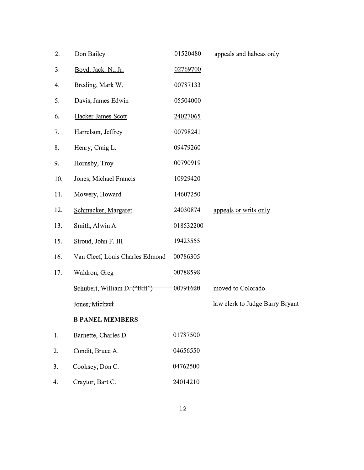| 2.  | Don Bailey                      | 01520480            | appeals and habeas only         |
|-----|---------------------------------|---------------------|---------------------------------|
| 3.  | Boyd, Jack. N., Jr.             | 02769700            |                                 |
| 4.  | Breding, Mark W.                | 00787133            |                                 |
| 5.  | Davis, James Edwin              | 05504000            |                                 |
| 6.  | Hacker James Scott              | 24027065            |                                 |
| 7.  | Harrelson, Jeffrey              | 00798241            |                                 |
| 8.  | Henry, Craig L.                 | 09479260            |                                 |
| 9.  | Hornsby, Troy                   | 00790919            |                                 |
| 10. | Jones, Michael Francis          | 10929420            |                                 |
| 11. | Mowery, Howard                  | 14607250            |                                 |
| 12. | Schmucker, Margaret             | 24030874            | appeals or writs only           |
| 13. | Smith, Alwin A.                 | 018532200           |                                 |
| 15. | Stroud, John F. III             | 19423555            |                                 |
| 16. | Van Cleef, Louis Charles Edmond | 00786305            |                                 |
| 17. | Waldron, Greg                   | 00788598            |                                 |
|     | Schubert, William D. ("Bill")   | <del>00791620</del> | moved to Colorado               |
|     | Jones, Michael                  |                     | law clerk to Judge Barry Bryant |
|     | <b>B PANEL MEMBERS</b>          |                     |                                 |
| 1.  | Barnette, Charles D.            | 01787500            |                                 |
| 2.  | Condit, Bruce A.                | 04656550            |                                 |
| 3.  | Cooksey, Don C.                 | 04762500            |                                 |
| 4.  | Craytor, Bart C.                | 24014210            |                                 |

 $\hat{p}$  , and  $\hat{p}$  , and  $\hat{p}$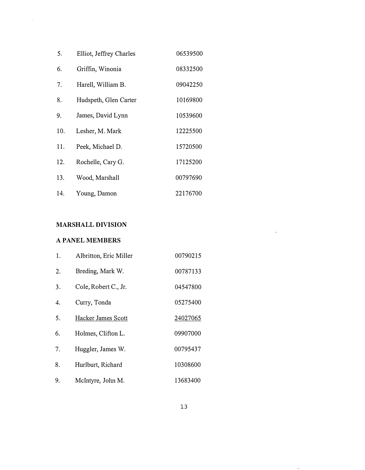| 5.  | Elliot, Jeffrey Charles | 06539500 |
|-----|-------------------------|----------|
| 6.  | Griffin, Winonia        | 08332500 |
| 7.  | Harell, William B.      | 09042250 |
| 8.  | Hudspeth, Glen Carter   | 10169800 |
| 9.  | James, David Lynn       | 10539600 |
| 10. | Lesher, M. Mark         | 12225500 |
| 11. | Peek, Michael D.        | 15720500 |
| 12. | Rochelle, Cary G.       | 17125200 |
| 13. | Wood, Marshall          | 00797690 |
| 14. | Young, Damon            | 22176700 |

# MARSHALL DIVISION

### A PANEL MEMBERS

 $\label{eq:1} \Phi_{\rm{max}}(t) = \frac{1}{\sqrt{2\pi}}\sum_{i=1}^{\infty}\frac{1}{\sqrt{2\pi}}\sum_{i=1}^{\infty}\frac{1}{\sqrt{2\pi}}\sum_{i=1}^{\infty}\frac{1}{\sqrt{2\pi}}\sum_{i=1}^{\infty}\frac{1}{\sqrt{2\pi}}\sum_{i=1}^{\infty}\frac{1}{\sqrt{2\pi}}\sum_{i=1}^{\infty}\frac{1}{\sqrt{2\pi}}\sum_{i=1}^{\infty}\frac{1}{\sqrt{2\pi}}\sum_{i=1}^{\infty}\frac{1}{\sqrt{2\pi}}\sum_{i=$ 

| 1. | Albritton, Eric Miller | 00790215 |
|----|------------------------|----------|
| 2. | Breding, Mark W.       | 00787133 |
| 3. | Cole, Robert C., Jr.   | 04547800 |
| 4. | Curry, Tonda           | 05275400 |
| 5. | Hacker James Scott     | 24027065 |
| 6. | Holmes, Clifton L.     | 09907000 |
| 7. | Huggler, James W.      | 00795437 |
| 8. | Hurlburt, Richard      | 10308600 |
| 9. | McIntyre, John M.      | 13683400 |

 $\hat{f}$  and  $\hat{f}$  and  $\hat{f}$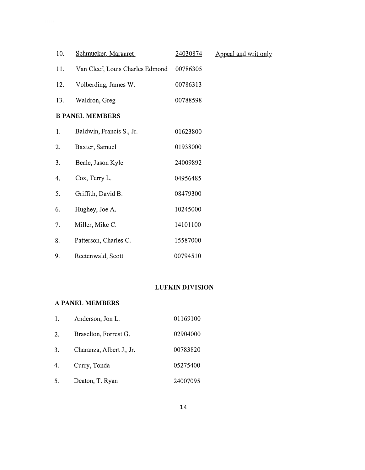| 10. | Schmucker, Margaret             | 24030874 | Appeal and writ only |
|-----|---------------------------------|----------|----------------------|
| 11. | Van Cleef, Louis Charles Edmond | 00786305 |                      |
| 12. | Volberding, James W.            | 00786313 |                      |
| 13. | Waldron, Greg                   | 00788598 |                      |
|     | <b>B PANEL MEMBERS</b>          |          |                      |
| 1.  | Baldwin, Francis S., Jr.        | 01623800 |                      |
| 2.  | Baxter, Samuel                  | 01938000 |                      |
| 3.  | Beale, Jason Kyle               | 24009892 |                      |
| 4.  | Cox, Terry L.                   | 04956485 |                      |
| 5.  | Griffith, David B.              | 08479300 |                      |
| 6.  | Hughey, Joe A.                  | 10245000 |                      |
| 7.  | Miller, Mike C.                 | 14101100 |                      |
| 8.  | Patterson, Charles C.           | 15587000 |                      |
| 9.  | Rectenwald, Scott               | 00794510 |                      |

# LUFKIN DIVISION

### A PANEL MEMBERS

 $\label{eq:1} \mathcal{A}_{\mathcal{C}}(x) = \mathcal{A}_{\mathcal{C}}(x) \mathcal{A}_{\mathcal{C}}(x)$ 

| 1. | Anderson, Jon L.         | 01169100 |
|----|--------------------------|----------|
| 2. | Braselton, Forrest G.    | 02904000 |
| 3. | Charanza, Albert J., Jr. | 00783820 |
| 4. | Curry, Tonda             | 05275400 |
| 5. | Deaton, T. Ryan          | 24007095 |